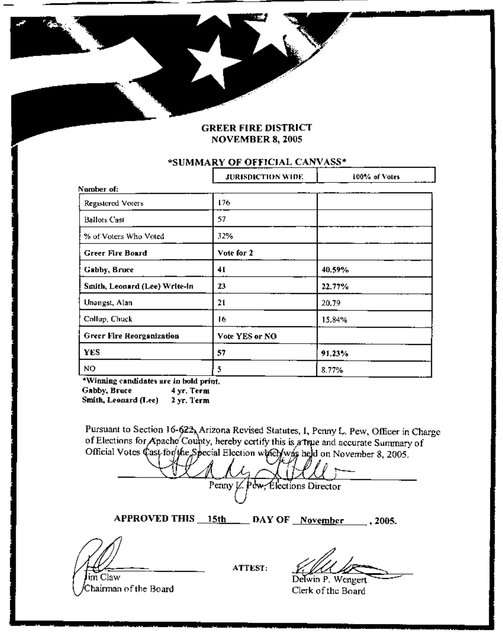## **GREER FIRE DISTRICT NOVEMBER 8, 2005**

## \*SUMMARY OF OFFICIAL CANVASS\*

|                               | <b>JURISDICTION WIDE</b> | 100% of Votes |  |  |  |  |
|-------------------------------|--------------------------|---------------|--|--|--|--|
| Number of:                    |                          |               |  |  |  |  |
| Registered Voters             | 176                      |               |  |  |  |  |
| <b>Ballots Cast</b>           | 57                       |               |  |  |  |  |
| % of Voters Who Voted         | 32%                      |               |  |  |  |  |
| <b>Greer Fire Board</b>       | Vote for 2               |               |  |  |  |  |
| Gabby, Bruce                  | 41                       | 40,59%        |  |  |  |  |
| Smith, Leonard (Lee) Write-in | 23                       | 22.77%        |  |  |  |  |
| Unangst, Alan                 | 21                       | 20.79         |  |  |  |  |
| Collup, Chuck                 | 16                       | 15.84%        |  |  |  |  |
| Greer Fire Reorganization     | Vote YES or NO           |               |  |  |  |  |
| <b>YES</b>                    | 57                       | 91.23%        |  |  |  |  |
| NQ.                           | 5                        | 8.77%         |  |  |  |  |

\*Winning candidates are in hold print.

Gabby, Bruce 4 yr. Term Smith, Leonard (Lee) 2 yr. Term

Pursuant to Section 16-622, Arizona Revised Statutes, I, Penny L. Pew, Officer in Charge of Elections for Apache County, hereby certify this is a true and accurate Summary of Official Votes Cast for the Special Election with yos held on November 8, 2005.

Penny L. Pow, Elections Director

APPROVED THIS 15th DAY OF November 1005.

 $\lim C$ law .<br>Chairman of the Board

ATTEST:

Delwin P. Wengert

Clerk of the Board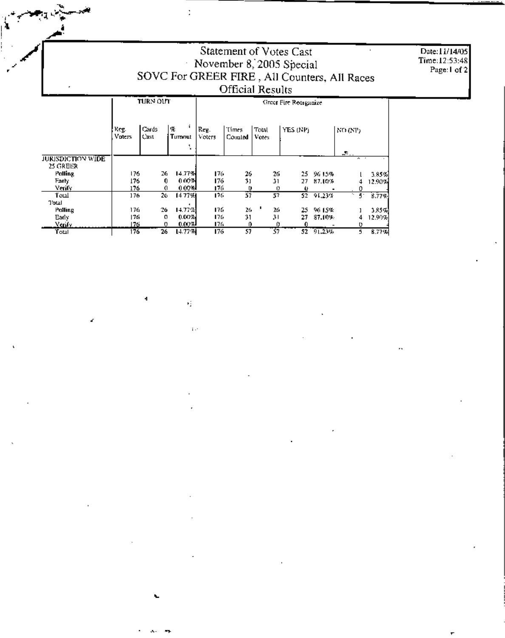Statement of Votes Cast<br>November 8, 2005 Special<br>SOVC For GREER FIRE, All Counters, All Races<br>Official Results

Date:11/14/05<br>Time:12:53:48<br>Page:1 of 2

|                   |                       | TURN OUT      |              | Green Fire Reorganize |                  |                |          |               |                |        |  |  |
|-------------------|-----------------------|---------------|--------------|-----------------------|------------------|----------------|----------|---------------|----------------|--------|--|--|
|                   | Reg.<br><b>Voters</b> | Cards<br>Cast | 囇<br>Turnnut | Reg.<br>Voters        | Times<br>Counted | Total<br>Votes | YES (NP) |               | NO (NP)        |        |  |  |
| JURISDICTION WIDE |                       |               |              |                       |                  |                |          |               | $\pi$ .<br>. . |        |  |  |
| 25 GREER          |                       |               |              |                       |                  |                |          |               |                |        |  |  |
| Polling           | 176                   | 26            | 14.77%       | 176                   | 26               | 26             |          | 25 96 15%     |                | 3.85%  |  |  |
| Farly             | 176                   | Ð             | 0.00%        | 176                   | 31               | 11             | 27.      | 87.10%        | 4              | 12.90% |  |  |
| Verify            | 176                   | a             | 0.00%        | 176                   | U                | 0              |          |               |                |        |  |  |
| Total             | 176                   | 26.           | 14.7799      | 176.                  | 57               | 57             |          | $52 - 91,23%$ | $^{\circ}$ 5.  | 8.77%  |  |  |
| Total             |                       |               |              |                       |                  |                |          |               |                |        |  |  |
| Polling           | 176                   | 26            | 14.77%       | 176                   | 26.              | 26             | 25       | 96.15%        |                | 3.85%  |  |  |
| Early             | 176                   | 0             | 0.00%        | 176                   | 31               | 31             | 27       | 87.10%        | 4              | 12.90% |  |  |
| Merity.           | 176                   | o             | 0.00%        | 176                   | ß                |                |          |               | υ              |        |  |  |
| 'fotal            | 176                   | 26            | 14.77%       | 176                   | 57               | 37             |          | 52 91.23%     | 5.             | 8.77%  |  |  |

 $\epsilon_{\rm i}^{\rm i}$ 

 $\bar{r}$  .